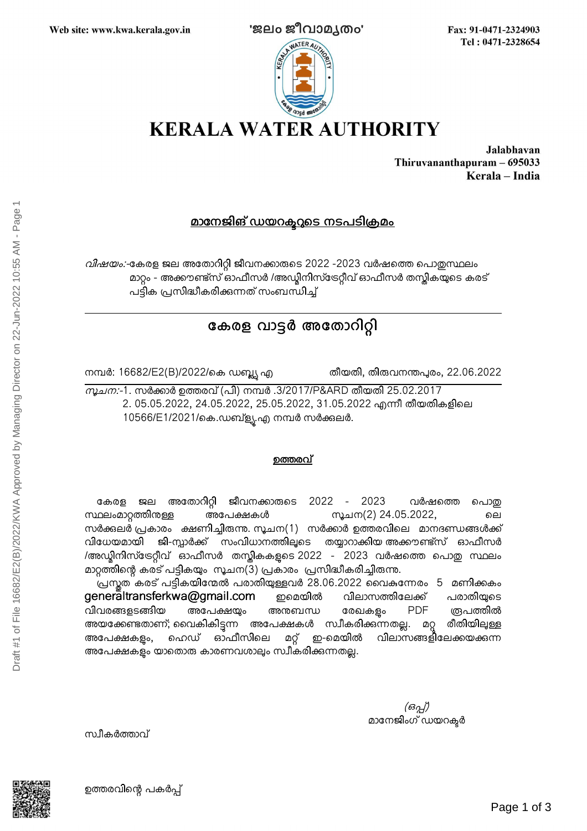

Fax: 91-0471-2324903 Tel: 0471-2328654



Jalabhavan Thiruvananthapuram - 695033 Kerala - India

## <u>മാനേജിങ് ഡയറകുറുടെ നടപടിക്രമം</u>

വിഷയം:-കേരള ജല അതോറിറ്റി ജീവനക്കാരുടെ 2022 -2023 വർഷത്തെ പൊതുസ്ഥലം മാറ്റം - അക്കൗണ്ട്സ് ഓഫീസർ /അഡ്യിനിസ്ട്രേറ്റീവ് ഓഫീസർ തസ്തികയുടെ കരട് പട്ടിക പ്രസിദ്ധീകരിക്കന്നത് സംബന്ധിച്ച്

# കേരള വാട്ടർ അതോറിറ്റി

നമ്പർ: 16682/E2(B)/2022/കെ ഡബ്ല്യൂ എ തീയതി, തിരുവനന്തപുരം, 22.06.2022

*സൂചന:*-1. സർക്കാർ ഉത്തരവ് (പി) നമ്പർ .3/2017/P&ARD തീയതി 25.02.2017 2. 05.05.2022, 24.05.2022, 25.05.2022, 31.05.2022 എന്നീ തീയതികളിലെ 10566/E1/2021/കെ.ഡബ്ള്യൂ.എ നമ്പർ സർക്കുലർ.

### ഉത്തരവ്

കേരള ജല അതോറിറ്റി ജീവനക്കാരുടെ 2022 - 2023 വർഷത്തെ പൊതു സ്ഥലംമാറ്റത്തിനുള്ള അപേക്ഷകൾ സൂചന(2) 24.05.2022, ലെ സർക്കലർ പ്രകാരം ക്ഷണിച്ചിരുന്നു. സൂചന $(1)$  സർക്കാർ ഉത്തരവിലെ മാനദണ്ഡങ്ങൾക്ക് വിധേയമായി ജി-സ്പാർക്ക് സംവിധാനത്തിലൂടെ തയ്യാറാക്കിയ-അക്കൗണ്ട്സ് ഓഫീസർ /അഡ്ലിനിസ്ട്രേറ്റീവ് ഓഫീസർ തസ്കികകളടെ 2022 - 2023 വർഷത്തെ പൊതു സ്ഥലം മാറ്റത്തിന്റെ കരട് പട്ടികയും സൂചന(3) പ്രകാരം പ്രസിദ്ധീകരിച്ചിരുന്നു.

പ്രസ്തത കരട് പട്ടികയിന്മേൽ പരാതിയുള്ളവർ 28.06.2022 വൈകന്നേരം 5 മണിക്കകം  $g$ ener $\bar{a}$ ltransferkwa $Q$ gmail.com ഇമെയിൽ വിലാസത്തിലേക്ക് പരാതിയുടെ വിവരങ്ങളടങ്ങിയ അപേക്ഷയും അനബന്ധ രേഖകളം PDF ത്രപത്തിൽ അയക്കേണ്ടതാണ്; വൈകികിട്ടന്ന അപേക്ഷകൾ സ്വീകരിക്കന്നതല്ല. മറ്റ രീതിയിലുള്ള അപേക്ഷകളം, ഹെഡ് ഓഫീസിലെ മറ്റ് ഇ-മെയിൽ വിലാസങ്ങളിലേക്കയക്കന്ന അപേക്ഷകളം യാതൊരു കാരണവശാലും സ്വീകരിക്കുന്നതല്ല.

> (ഒപ്പ്) മാനേജിംഗ് ഡയറക്ടർ

സ്വീകർത്താവ്



ഉത്തരവിന്റെ പകർപ്പ്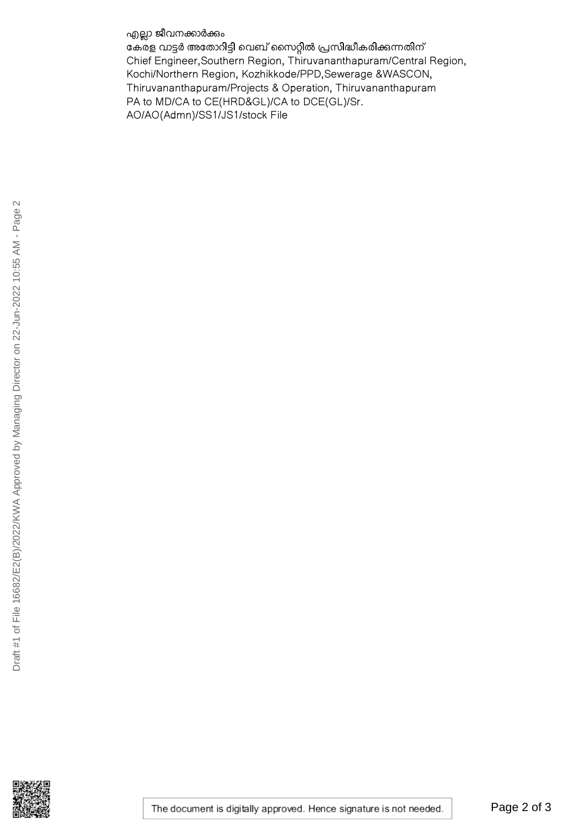എല്ലാ ജീവനക്കാർക്കും

കേരള വാട്ടർ അതോറിട്ടി വെബ് സൈറ്റിൽ പ്രസിദ്ധീകരിക്കുന്നതിന് Chief Engineer, Southern Region, Thiruvananthapuram/Central Region, Kochi/Northern Region, Kozhikkode/PPD, Sewerage &WASCON, Thiruvananthapuram/Projects & Operation, Thiruvananthapuram PA to MD/CA to CE(HRD&GL)/CA to DCE(GL)/Sr. AO/AO(Admn)/SS1/JS1/stock File